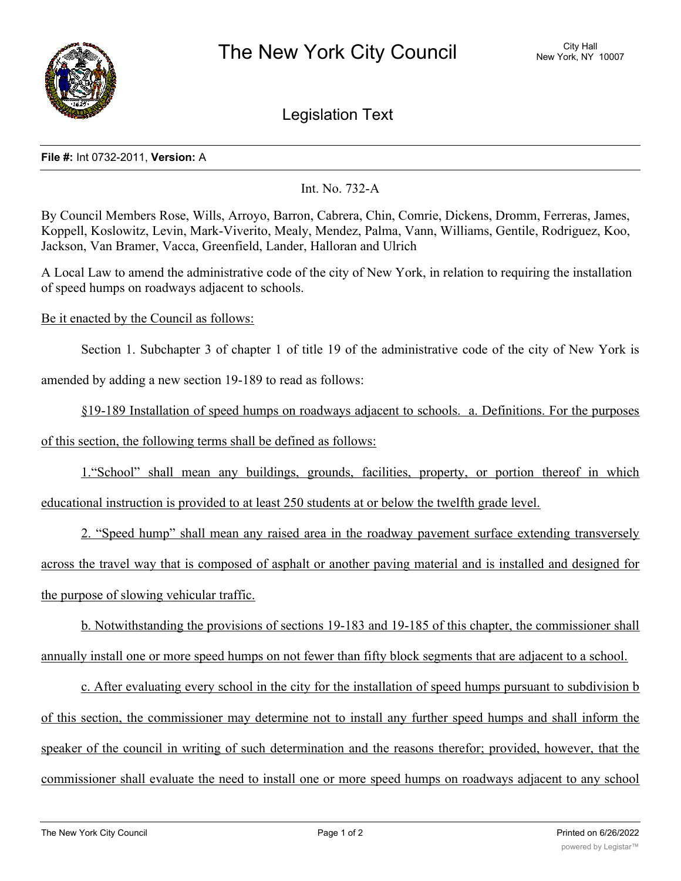

Legislation Text

## **File #:** Int 0732-2011, **Version:** A

Int. No. 732-A

By Council Members Rose, Wills, Arroyo, Barron, Cabrera, Chin, Comrie, Dickens, Dromm, Ferreras, James, Koppell, Koslowitz, Levin, Mark-Viverito, Mealy, Mendez, Palma, Vann, Williams, Gentile, Rodriguez, Koo, Jackson, Van Bramer, Vacca, Greenfield, Lander, Halloran and Ulrich

A Local Law to amend the administrative code of the city of New York, in relation to requiring the installation of speed humps on roadways adjacent to schools.

## Be it enacted by the Council as follows:

Section 1. Subchapter 3 of chapter 1 of title 19 of the administrative code of the city of New York is

amended by adding a new section 19-189 to read as follows:

§19-189 Installation of speed humps on roadways adjacent to schools. a. Definitions. For the purposes

of this section, the following terms shall be defined as follows:

1."School" shall mean any buildings, grounds, facilities, property, or portion thereof in which educational instruction is provided to at least 250 students at or below the twelfth grade level.

2. "Speed hump" shall mean any raised area in the roadway pavement surface extending transversely across the travel way that is composed of asphalt or another paving material and is installed and designed for the purpose of slowing vehicular traffic.

b. Notwithstanding the provisions of sections 19-183 and 19-185 of this chapter, the commissioner shall annually install one or more speed humps on not fewer than fifty block segments that are adjacent to a school.

c. After evaluating every school in the city for the installation of speed humps pursuant to subdivision b of this section, the commissioner may determine not to install any further speed humps and shall inform the speaker of the council in writing of such determination and the reasons therefor; provided, however, that the commissioner shall evaluate the need to install one or more speed humps on roadways adjacent to any school